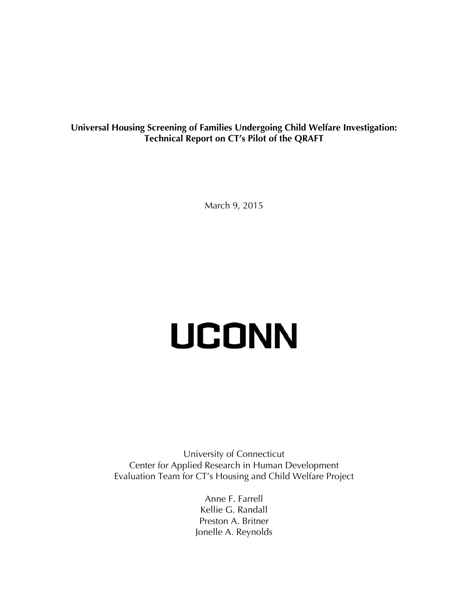**Universal Housing Screening of Families Undergoing Child Welfare Investigation: Technical Report on CT's Pilot of the QRAFT**

March 9, 2015

# **UCONN**

University of Connecticut Center for Applied Research in Human Development Evaluation Team for CT's Housing and Child Welfare Project

> Anne F. Farrell Kellie G. Randall Preston A. Britner Jonelle A. Reynolds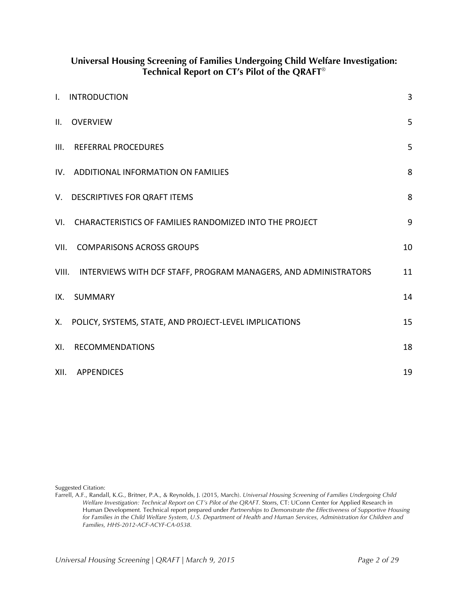|                | Universal Housing Screening of Families Undergoing Child Welfare Investigation:<br>Technical Report on CT's Pilot of the QRAFT® |    |
|----------------|---------------------------------------------------------------------------------------------------------------------------------|----|
| $\mathbf{I}$ . | <b>INTRODUCTION</b>                                                                                                             | 3  |
| II.            | <b>OVERVIEW</b>                                                                                                                 | 5  |
| III.           | <b>REFERRAL PROCEDURES</b>                                                                                                      | 5  |
| IV.            | ADDITIONAL INFORMATION ON FAMILIES                                                                                              | 8  |
|                | V. DESCRIPTIVES FOR QRAFT ITEMS                                                                                                 | 8  |
| VI.            | CHARACTERISTICS OF FAMILIES RANDOMIZED INTO THE PROJECT                                                                         | 9  |
| VII.           | <b>COMPARISONS ACROSS GROUPS</b>                                                                                                | 10 |
| VIII.          | INTERVIEWS WITH DCF STAFF, PROGRAM MANAGERS, AND ADMINISTRATORS                                                                 | 11 |
| IX.            | <b>SUMMARY</b>                                                                                                                  | 14 |
| Х.             | POLICY, SYSTEMS, STATE, AND PROJECT-LEVEL IMPLICATIONS                                                                          | 15 |
| XI.            | <b>RECOMMENDATIONS</b>                                                                                                          | 18 |
| XII.           | <b>APPENDICES</b>                                                                                                               | 19 |

Suggested Citation:

Farrell, A.F., Randall, K.G., Britner, P.A., & Reynolds, J. (2015, March). Universal Housing Screening of Families Undergoing Child Welfare Investigation: Technical Report on CT's Pilot of the QRAFT. Storrs, CT: UConn Center for Applied Research in Human Development. Technical report prepared under Partnerships to Demonstrate the Effectiveness of Supportive Housing for Families in the Child Welfare System, U.S. Department of Health and Human Services, Administration for Children and Families, HHS-2012-ACF-ACYF-CA-0538.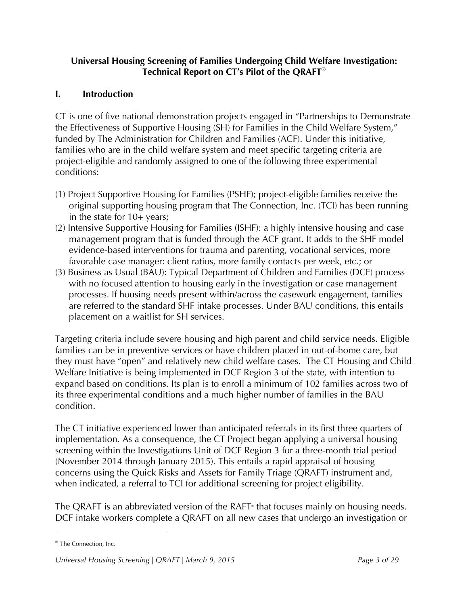# **Universal Housing Screening of Families Undergoing Child Welfare Investigation: Technical Report on CT's Pilot of the QRAFT**®

# **I. Introduction**

CT is one of five national demonstration projects engaged in "Partnerships to Demonstrate the Effectiveness of Supportive Housing (SH) for Families in the Child Welfare System," funded by The Administration for Children and Families (ACF). Under this initiative, families who are in the child welfare system and meet specific targeting criteria are project-eligible and randomly assigned to one of the following three experimental conditions:

- (1) Project Supportive Housing for Families (PSHF); project-eligible families receive the original supporting housing program that The Connection, Inc. (TCI) has been running in the state for 10+ years;
- (2) Intensive Supportive Housing for Families (ISHF): a highly intensive housing and case management program that is funded through the ACF grant. It adds to the SHF model evidence-based interventions for trauma and parenting, vocational services, more favorable case manager: client ratios, more family contacts per week, etc.; or
- (3) Business as Usual (BAU): Typical Department of Children and Families (DCF) process with no focused attention to housing early in the investigation or case management processes. If housing needs present within/across the casework engagement, families are referred to the standard SHF intake processes. Under BAU conditions, this entails placement on a waitlist for SH services.

Targeting criteria include severe housing and high parent and child service needs. Eligible families can be in preventive services or have children placed in out-of-home care, but they must have "open" and relatively new child welfare cases. The CT Housing and Child Welfare Initiative is being implemented in DCF Region 3 of the state, with intention to expand based on conditions. Its plan is to enroll a minimum of 102 families across two of its three experimental conditions and a much higher number of families in the BAU condition.

The CT initiative experienced lower than anticipated referrals in its first three quarters of implementation. As a consequence, the CT Project began applying a universal housing screening within the Investigations Unit of DCF Region 3 for a three-month trial period (November 2014 through January 2015). This entails a rapid appraisal of housing concerns using the Quick Risks and Assets for Family Triage (QRAFT) instrument and, when indicated, a referral to TCI for additional screening for project eligibility.

The QRAFT is an abbreviated version of the RAFT that focuses mainly on housing needs. DCF intake workers complete a QRAFT on all new cases that undergo an investigation or

 $\overline{a}$ 

<sup>&</sup>lt;sup>®</sup> The Connection, Inc.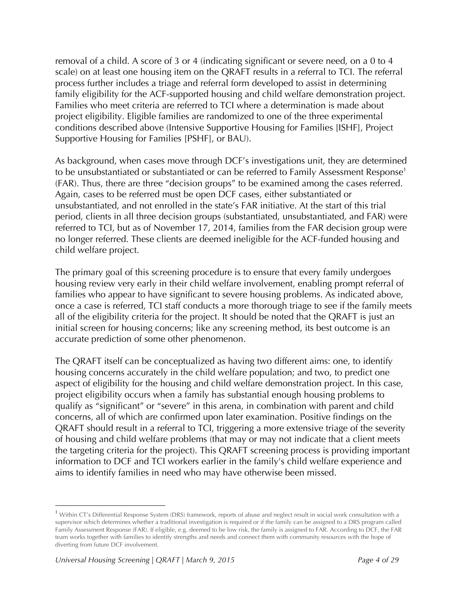removal of a child. A score of 3 or 4 (indicating significant or severe need, on a 0 to 4 scale) on at least one housing item on the QRAFT results in a referral to TCI. The referral process further includes a triage and referral form developed to assist in determining family eligibility for the ACF-supported housing and child welfare demonstration project. Families who meet criteria are referred to TCI where a determination is made about project eligibility. Eligible families are randomized to one of the three experimental conditions described above (Intensive Supportive Housing for Families [ISHF], Project Supportive Housing for Families [PSHF], or BAU).

As background, when cases move through DCF's investigations unit, they are determined to be unsubstantiated or substantiated or can be referred to Family Assessment Response<sup>1</sup> (FAR). Thus, there are three "decision groups" to be examined among the cases referred. Again, cases to be referred must be open DCF cases, either substantiated or unsubstantiated, and not enrolled in the state's FAR initiative. At the start of this trial period, clients in all three decision groups (substantiated, unsubstantiated, and FAR) were referred to TCI, but as of November 17, 2014, families from the FAR decision group were no longer referred. These clients are deemed ineligible for the ACF-funded housing and child welfare project.

The primary goal of this screening procedure is to ensure that every family undergoes housing review very early in their child welfare involvement, enabling prompt referral of families who appear to have significant to severe housing problems. As indicated above, once a case is referred, TCI staff conducts a more thorough triage to see if the family meets all of the eligibility criteria for the project. It should be noted that the QRAFT is just an initial screen for housing concerns; like any screening method, its best outcome is an accurate prediction of some other phenomenon.

The QRAFT itself can be conceptualized as having two different aims: one, to identify housing concerns accurately in the child welfare population; and two, to predict one aspect of eligibility for the housing and child welfare demonstration project. In this case, project eligibility occurs when a family has substantial enough housing problems to qualify as "significant" or "severe" in this arena, in combination with parent and child concerns, all of which are confirmed upon later examination. Positive findings on the QRAFT should result in a referral to TCI, triggering a more extensive triage of the severity of housing and child welfare problems (that may or may not indicate that a client meets the targeting criteria for the project). This QRAFT screening process is providing important information to DCF and TCI workers earlier in the family's child welfare experience and aims to identify families in need who may have otherwise been missed.

 $\overline{a}$ 

<sup>&</sup>lt;sup>1</sup> Within CT's Differential Response System (DRS) framework, reports of abuse and neglect result in social work consultation with a supervisor which determines whether a traditional investigation is required or if the family can be assigned to a DRS program called Family Assessment Response (FAR). If eligible, e.g. deemed to be low risk, the family is assigned to FAR. According to DCF, the FAR team works together with families to identify strengths and needs and connect them with community resources with the hope of diverting from future DCF involvement.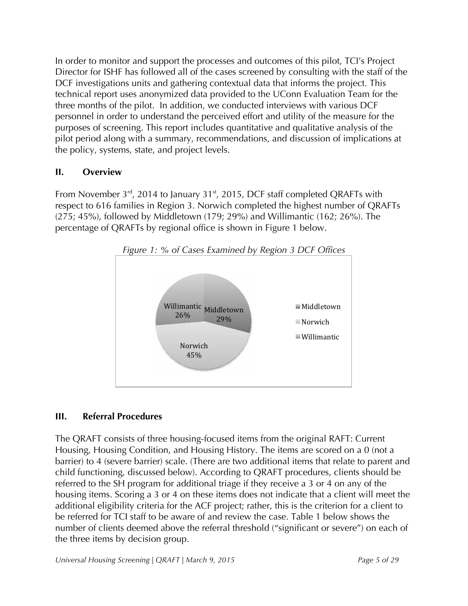In order to monitor and support the processes and outcomes of this pilot, TCI's Project Director for ISHF has followed all of the cases screened by consulting with the staff of the DCF investigations units and gathering contextual data that informs the project. This technical report uses anonymized data provided to the UConn Evaluation Team for the three months of the pilot. In addition, we conducted interviews with various DCF personnel in order to understand the perceived effort and utility of the measure for the purposes of screening. This report includes quantitative and qualitative analysis of the pilot period along with a summary, recommendations, and discussion of implications at the policy, systems, state, and project levels.

# **II. Overview**

From November  $3^{rd}$ , 2014 to January 31<sup>st</sup>, 2015, DCF staff completed QRAFTs with respect to 616 families in Region 3. Norwich completed the highest number of QRAFTs (275; 45%), followed by Middletown (179; 29%) and Willimantic (162; 26%). The percentage of QRAFTs by regional office is shown in Figure 1 below.





# **III. Referral Procedures**

The QRAFT consists of three housing-focused items from the original RAFT: Current Housing, Housing Condition, and Housing History. The items are scored on a 0 (not a barrier) to 4 (severe barrier) scale. (There are two additional items that relate to parent and child functioning, discussed below). According to QRAFT procedures, clients should be referred to the SH program for additional triage if they receive a 3 or 4 on any of the housing items. Scoring a 3 or 4 on these items does not indicate that a client will meet the additional eligibility criteria for the ACF project; rather, this is the criterion for a client to be referred for TCI staff to be aware of and review the case. Table 1 below shows the number of clients deemed above the referral threshold ("significant or severe") on each of the three items by decision group.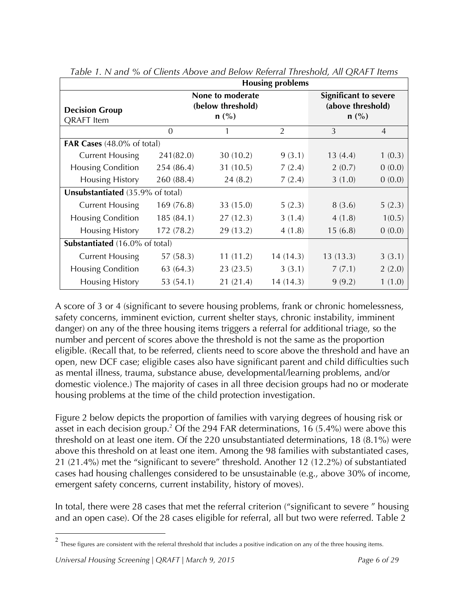|                                            | <b>Housing problems</b>                          |           |                |                                                              |                |  |
|--------------------------------------------|--------------------------------------------------|-----------|----------------|--------------------------------------------------------------|----------------|--|
| <b>Decision Group</b><br><b>QRAFT</b> Item | None to moderate<br>(below threshold)<br>$n$ (%) |           |                | <b>Significant to severe</b><br>(above threshold)<br>$n$ (%) |                |  |
|                                            | $\Omega$                                         | 1         | $\overline{2}$ | 3                                                            | $\overline{4}$ |  |
| <b>FAR Cases</b> (48.0% of total)          |                                                  |           |                |                                                              |                |  |
| <b>Current Housing</b>                     | 241(82.0)                                        | 30 (10.2) | 9(3.1)         | 13(4.4)                                                      | 1(0.3)         |  |
| <b>Housing Condition</b>                   | 254 (86.4)                                       | 31 (10.5) | 7(2.4)         | 2(0.7)                                                       | 0(0.0)         |  |
| <b>Housing History</b>                     | 260 (88.4)                                       | 24(8.2)   | 7(2.4)         | 3(1.0)                                                       | 0(0.0)         |  |
| Unsubstantiated (35.9% of total)           |                                                  |           |                |                                                              |                |  |
| <b>Current Housing</b>                     | 169(76.8)                                        | 33 (15.0) | 5(2.3)         | 8(3.6)                                                       | 5(2.3)         |  |
| <b>Housing Condition</b>                   | 185 (84.1)                                       | 27(12.3)  | 3(1.4)         | 4(1.8)                                                       | 1(0.5)         |  |
| <b>Housing History</b>                     | 172 (78.2)                                       | 29 (13.2) | 4(1.8)         | 15(6.8)                                                      | 0(0.0)         |  |
| <b>Substantiated</b> (16.0% of total)      |                                                  |           |                |                                                              |                |  |
| <b>Current Housing</b>                     | 57 (58.3)                                        | 11(11.2)  | 14(14.3)       | 13(13.3)                                                     | 3(3.1)         |  |
| <b>Housing Condition</b>                   | 63(64.3)                                         | 23 (23.5) | 3(3.1)         | 7(7.1)                                                       | 2(2.0)         |  |
| <b>Housing History</b>                     | 53 (54.1)                                        | 21 (21.4) | 14 (14.3)      | 9(9.2)                                                       | 1(1.0)         |  |

*Table 1. N and % of Clients Above and Below Referral Threshold, All QRAFT Items*

A score of 3 or 4 (significant to severe housing problems, frank or chronic homelessness, safety concerns, imminent eviction, current shelter stays, chronic instability, imminent danger) on any of the three housing items triggers a referral for additional triage, so the number and percent of scores above the threshold is not the same as the proportion eligible. (Recall that, to be referred, clients need to score above the threshold and have an open, new DCF case; eligible cases also have significant parent and child difficulties such as mental illness, trauma, substance abuse, developmental/learning problems, and/or domestic violence.) The majority of cases in all three decision groups had no or moderate housing problems at the time of the child protection investigation.

Figure 2 below depicts the proportion of families with varying degrees of housing risk or asset in each decision group.<sup>2</sup> Of the 294 FAR determinations, 16  $(5.4\%)$  were above this threshold on at least one item. Of the 220 unsubstantiated determinations, 18 (8.1%) were above this threshold on at least one item. Among the 98 families with substantiated cases, 21 (21.4%) met the "significant to severe" threshold. Another 12 (12.2%) of substantiated cases had housing challenges considered to be unsustainable (e.g., above 30% of income, emergent safety concerns, current instability, history of moves).

In total, there were 28 cases that met the referral criterion ("significant to severe " housing and an open case). Of the 28 cases eligible for referral, all but two were referred. Table 2

 $2$  These figures are consistent with the referral threshold that includes a positive indication on any of the three housing items.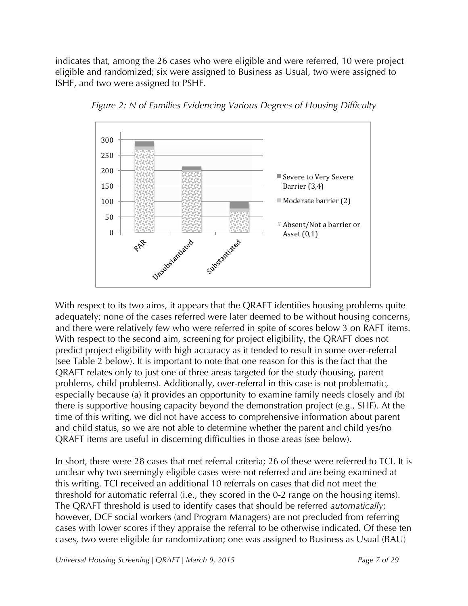indicates that, among the 26 cases who were eligible and were referred, 10 were project eligible and randomized; six were assigned to Business as Usual, two were assigned to ISHF, and two were assigned to PSHF.



*Figure 2: N of Families Evidencing Various Degrees of Housing Difficulty* 

With respect to its two aims, it appears that the QRAFT identifies housing problems quite adequately; none of the cases referred were later deemed to be without housing concerns, and there were relatively few who were referred in spite of scores below 3 on RAFT items. With respect to the second aim, screening for project eligibility, the QRAFT does not predict project eligibility with high accuracy as it tended to result in some over-referral (see Table 2 below). It is important to note that one reason for this is the fact that the QRAFT relates only to just one of three areas targeted for the study (housing, parent problems, child problems). Additionally, over-referral in this case is not problematic, especially because (a) it provides an opportunity to examine family needs closely and (b) there is supportive housing capacity beyond the demonstration project (e.g., SHF). At the time of this writing, we did not have access to comprehensive information about parent and child status, so we are not able to determine whether the parent and child yes/no QRAFT items are useful in discerning difficulties in those areas (see below).

In short, there were 28 cases that met referral criteria; 26 of these were referred to TCI. It is unclear why two seemingly eligible cases were not referred and are being examined at this writing. TCI received an additional 10 referrals on cases that did not meet the threshold for automatic referral (i.e., they scored in the 0-2 range on the housing items). The QRAFT threshold is used to identify cases that should be referred *automatically*; however, DCF social workers (and Program Managers) are not precluded from referring cases with lower scores if they appraise the referral to be otherwise indicated. Of these ten cases, two were eligible for randomization; one was assigned to Business as Usual (BAU)

*Universal Housing Screening | QRAFT | March 9, 2015 Page 7 of 29*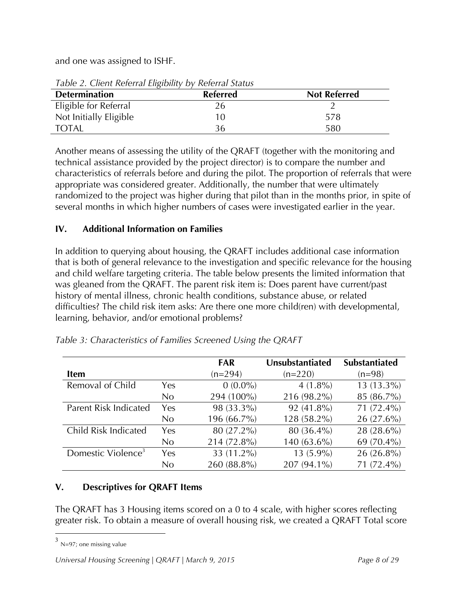and one was assigned to ISHF.

| Table 2. Chem Kelenar Englomer by Kelenar Status |                 |                     |
|--------------------------------------------------|-----------------|---------------------|
| <b>Determination</b>                             | <b>Referred</b> | <b>Not Referred</b> |
| Eligible for Referral                            | Ζh              |                     |
| Not Initially Eligible                           |                 | 578                 |
| <b>TOTAL</b>                                     |                 | 580                 |

*Table 2. Client Referral Eligibility by Referral Status*

Another means of assessing the utility of the QRAFT (together with the monitoring and technical assistance provided by the project director) is to compare the number and characteristics of referrals before and during the pilot. The proportion of referrals that were appropriate was considered greater. Additionally, the number that were ultimately randomized to the project was higher during that pilot than in the months prior, in spite of several months in which higher numbers of cases were investigated earlier in the year.

# **IV. Additional Information on Families**

In addition to querying about housing, the QRAFT includes additional case information that is both of general relevance to the investigation and specific relevance for the housing and child welfare targeting criteria. The table below presents the limited information that was gleaned from the QRAFT. The parent risk item is: Does parent have current/past history of mental illness, chronic health conditions, substance abuse, or related difficulties? The child risk item asks: Are there one more child(ren) with developmental, learning, behavior, and/or emotional problems?

|                                |     | <b>FAR</b>  | Unsubstantiated | <b>Substantiated</b> |
|--------------------------------|-----|-------------|-----------------|----------------------|
| Item                           |     | $(n=294)$   | $(n=220)$       | $(n=98)$             |
| Removal of Child               | Yes | $0(0.0\%)$  | $4(1.8\%)$      | $13(13.3\%)$         |
|                                | No. | 294 (100%)  | 216 (98.2%)     | 85 (86.7%)           |
| Parent Risk Indicated          | Yes | 98 (33.3%)  | 92 (41.8%)      | 71 (72.4%)           |
|                                | No  | 196 (66.7%) | 128 (58.2%)     | $26(27.6\%)$         |
| Child Risk Indicated           | Yes | 80 (27.2%)  | 80 (36.4%)      | 28 (28.6%)           |
|                                | No  | 214 (72.8%) | $140(63.6\%)$   | 69 (70.4%)           |
| Domestic Violence <sup>3</sup> | Yes | 33 (11.2%)  | $13(5.9\%)$     | $26(26.8\%)$         |
|                                | Nο  | 260 (88.8%) | 207 (94.1%)     | 71 (72.4%)           |

*Table 3: Characteristics of Families Screened Using the QRAFT*

# **V. Descriptives for QRAFT Items**

The QRAFT has 3 Housing items scored on a 0 to 4 scale, with higher scores reflecting greater risk. To obtain a measure of overall housing risk, we created a QRAFT Total score

 $3$  N=97; one missing value

*Universal Housing Screening | QRAFT | March 9, 2015 Page 8 of 29*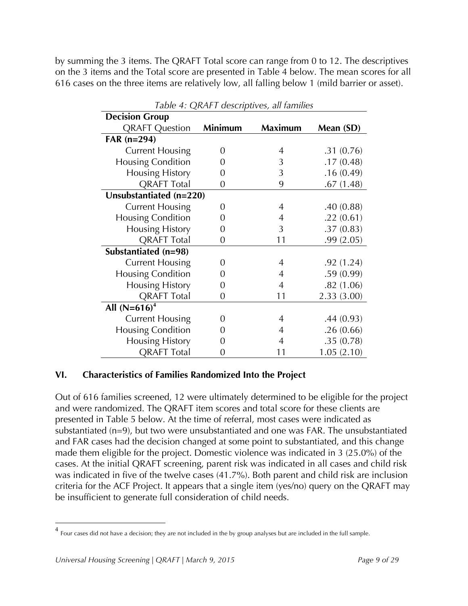by summing the 3 items. The QRAFT Total score can range from 0 to 12. The descriptives on the 3 items and the Total score are presented in Table 4 below. The mean scores for all 616 cases on the three items are relatively low, all falling below 1 (mild barrier or asset).

| rable $\mu$ , Q <sub>1</sub> v a r acsempaves, an rammes |                  |                |            |  |  |  |
|----------------------------------------------------------|------------------|----------------|------------|--|--|--|
| <b>Decision Group</b>                                    |                  |                |            |  |  |  |
| <b>QRAFT Question</b>                                    | Minimum          | <b>Maximum</b> | Mean (SD)  |  |  |  |
| FAR $(n=294)$                                            |                  |                |            |  |  |  |
| <b>Current Housing</b>                                   | 0                | 4              | .31(0.76)  |  |  |  |
| <b>Housing Condition</b>                                 | 0                | 3              | .17(0.48)  |  |  |  |
| <b>Housing History</b>                                   | 0                | 3              | .16(0.49)  |  |  |  |
| <b>QRAFT Total</b>                                       | $\overline{0}$   | 9              | .67(1.48)  |  |  |  |
| Unsubstantiated (n=220)                                  |                  |                |            |  |  |  |
| <b>Current Housing</b>                                   | 0                | $\overline{4}$ | .40(0.88)  |  |  |  |
| Housing Condition                                        | 0                | 4              | .22(0.61)  |  |  |  |
| <b>Housing History</b>                                   | $\overline{0}$   | 3              | .37(0.83)  |  |  |  |
| <b>QRAFT Total</b>                                       | $\boldsymbol{0}$ | 11             | .99(2.05)  |  |  |  |
| Substantiated (n=98)                                     |                  |                |            |  |  |  |
| <b>Current Housing</b>                                   | 0                | $\overline{4}$ | .92(1.24)  |  |  |  |
| <b>Housing Condition</b>                                 | 0                | 4              | .59(0.99)  |  |  |  |
| Housing History                                          | 0                | 4              | .82(1.06)  |  |  |  |
| <b>QRAFT Total</b>                                       | $\overline{0}$   | 11             | 2.33(3.00) |  |  |  |
| All $(N=616)^4$                                          |                  |                |            |  |  |  |
| <b>Current Housing</b>                                   | 0                | $\overline{4}$ | .44(0.93)  |  |  |  |
| <b>Housing Condition</b>                                 | 0                | 4              | .26(0.66)  |  |  |  |
| <b>Housing History</b>                                   | 0                | 4              | .35(0.78)  |  |  |  |
| <b>QRAFT Total</b>                                       | 0                | 11             | 1.05(2.10) |  |  |  |

*Table 4: QRAFT descriptives, all families*

# **VI. Characteristics of Families Randomized Into the Project**

Out of 616 families screened, 12 were ultimately determined to be eligible for the project and were randomized. The QRAFT item scores and total score for these clients are presented in Table 5 below. At the time of referral, most cases were indicated as substantiated (n=9), but two were unsubstantiated and one was FAR. The unsubstantiated and FAR cases had the decision changed at some point to substantiated, and this change made them eligible for the project. Domestic violence was indicated in 3 (25.0%) of the cases. At the initial QRAFT screening, parent risk was indicated in all cases and child risk was indicated in five of the twelve cases (41.7%). Both parent and child risk are inclusion criteria for the ACF Project. It appears that a single item (yes/no) query on the QRAFT may be insufficient to generate full consideration of child needs.

 <sup>4</sup> Four cases did not have a decision; they are not included in the by group analyses but are included in the full sample.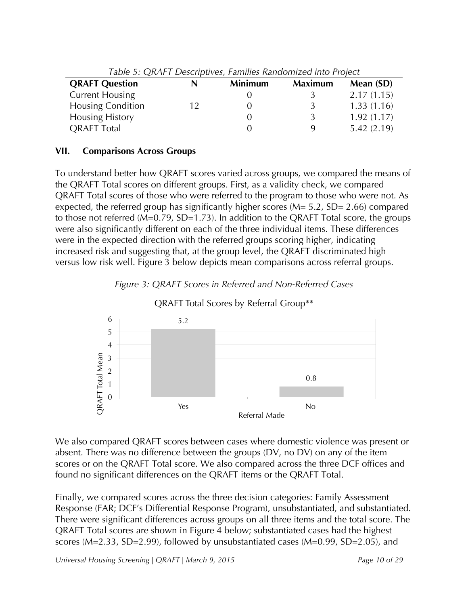| Table 5. QTV tr 1 Descriptives, Families Kangomized like Floject |  |                |                |            |  |  |
|------------------------------------------------------------------|--|----------------|----------------|------------|--|--|
| <b>QRAFT Question</b>                                            |  | <b>Minimum</b> | <b>Maximum</b> | Mean (SD)  |  |  |
| <b>Current Housing</b>                                           |  |                |                | 2.17(1.15) |  |  |
| <b>Housing Condition</b>                                         |  |                |                | 1.33(1.16) |  |  |
| <b>Housing History</b>                                           |  |                |                | 1.92(1.17) |  |  |
| <b>ORAFT</b> Total                                               |  |                |                | 5.42(2.19) |  |  |

*Table 5: QRAFT Descriptives, Families Randomized into Project*

# **VII. Comparisons Across Groups**

To understand better how QRAFT scores varied across groups, we compared the means of the QRAFT Total scores on different groups. First, as a validity check, we compared QRAFT Total scores of those who were referred to the program to those who were not. As expected, the referred group has significantly higher scores (M= 5.2, SD= 2.66) compared to those not referred (M=0.79, SD=1.73). In addition to the QRAFT Total score, the groups were also significantly different on each of the three individual items. These differences were in the expected direction with the referred groups scoring higher, indicating increased risk and suggesting that, at the group level, the QRAFT discriminated high versus low risk well. Figure 3 below depicts mean comparisons across referral groups.





QRAFT Total Scores by Referral Group\*\*

We also compared QRAFT scores between cases where domestic violence was present or absent. There was no difference between the groups (DV, no DV) on any of the item scores or on the QRAFT Total score. We also compared across the three DCF offices and found no significant differences on the QRAFT items or the QRAFT Total.

Finally, we compared scores across the three decision categories: Family Assessment Response (FAR; DCF's Differential Response Program), unsubstantiated, and substantiated. There were significant differences across groups on all three items and the total score. The QRAFT Total scores are shown in Figure 4 below; substantiated cases had the highest scores (M=2.33, SD=2.99), followed by unsubstantiated cases (M=0.99, SD=2.05), and

*Universal Housing Screening | QRAFT | March 9, 2015* Page 10 of 29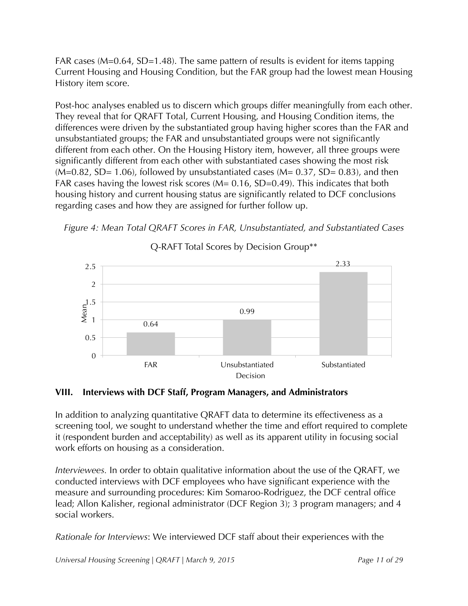FAR cases (M=0.64, SD=1.48). The same pattern of results is evident for items tapping Current Housing and Housing Condition, but the FAR group had the lowest mean Housing History item score.

Post-hoc analyses enabled us to discern which groups differ meaningfully from each other. They reveal that for QRAFT Total, Current Housing, and Housing Condition items, the differences were driven by the substantiated group having higher scores than the FAR and unsubstantiated groups; the FAR and unsubstantiated groups were not significantly different from each other. On the Housing History item, however, all three groups were significantly different from each other with substantiated cases showing the most risk  $(M=0.82, SD= 1.06)$ , followed by unsubstantiated cases  $(M= 0.37, SD= 0.83)$ , and then FAR cases having the lowest risk scores  $(M= 0.16, SD=0.49)$ . This indicates that both housing history and current housing status are significantly related to DCF conclusions regarding cases and how they are assigned for further follow up.





Q-RAFT Total Scores by Decision Group\*\*

# **VIII. Interviews with DCF Staff, Program Managers, and Administrators**

In addition to analyzing quantitative QRAFT data to determine its effectiveness as a screening tool, we sought to understand whether the time and effort required to complete it (respondent burden and acceptability) as well as its apparent utility in focusing social work efforts on housing as a consideration.

*Interviewees.* In order to obtain qualitative information about the use of the QRAFT, we conducted interviews with DCF employees who have significant experience with the measure and surrounding procedures: Kim Somaroo-Rodriguez, the DCF central office lead; Allon Kalisher, regional administrator (DCF Region 3); 3 program managers; and 4 social workers.

*Rationale for Interviews*: We interviewed DCF staff about their experiences with the

*Universal Housing Screening | QRAFT | March 9, 2015* Page 11 of 29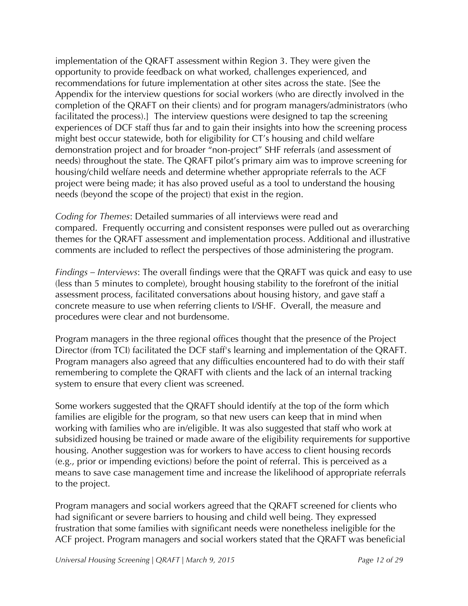implementation of the QRAFT assessment within Region 3. They were given the opportunity to provide feedback on what worked, challenges experienced, and recommendations for future implementation at other sites across the state. [See the Appendix for the interview questions for social workers (who are directly involved in the completion of the QRAFT on their clients) and for program managers/administrators (who facilitated the process).] The interview questions were designed to tap the screening experiences of DCF staff thus far and to gain their insights into how the screening process might best occur statewide, both for eligibility for CT's housing and child welfare demonstration project and for broader "non-project" SHF referrals (and assessment of needs) throughout the state. The QRAFT pilot's primary aim was to improve screening for housing/child welfare needs and determine whether appropriate referrals to the ACF project were being made; it has also proved useful as a tool to understand the housing needs (beyond the scope of the project) that exist in the region.

*Coding for Themes*: Detailed summaries of all interviews were read and compared. Frequently occurring and consistent responses were pulled out as overarching themes for the QRAFT assessment and implementation process. Additional and illustrative comments are included to reflect the perspectives of those administering the program.

*Findings – Interviews*: The overall findings were that the QRAFT was quick and easy to use (less than 5 minutes to complete), brought housing stability to the forefront of the initial assessment process, facilitated conversations about housing history, and gave staff a concrete measure to use when referring clients to I/SHF. Overall, the measure and procedures were clear and not burdensome.

Program managers in the three regional offices thought that the presence of the Project Director (from TCI) facilitated the DCF staff's learning and implementation of the QRAFT. Program managers also agreed that any difficulties encountered had to do with their staff remembering to complete the QRAFT with clients and the lack of an internal tracking system to ensure that every client was screened.

Some workers suggested that the QRAFT should identify at the top of the form which families are eligible for the program, so that new users can keep that in mind when working with families who are in/eligible. It was also suggested that staff who work at subsidized housing be trained or made aware of the eligibility requirements for supportive housing. Another suggestion was for workers to have access to client housing records (e.g., prior or impending evictions) before the point of referral. This is perceived as a means to save case management time and increase the likelihood of appropriate referrals to the project.

Program managers and social workers agreed that the QRAFT screened for clients who had significant or severe barriers to housing and child well being. They expressed frustration that some families with significant needs were nonetheless ineligible for the ACF project. Program managers and social workers stated that the QRAFT was beneficial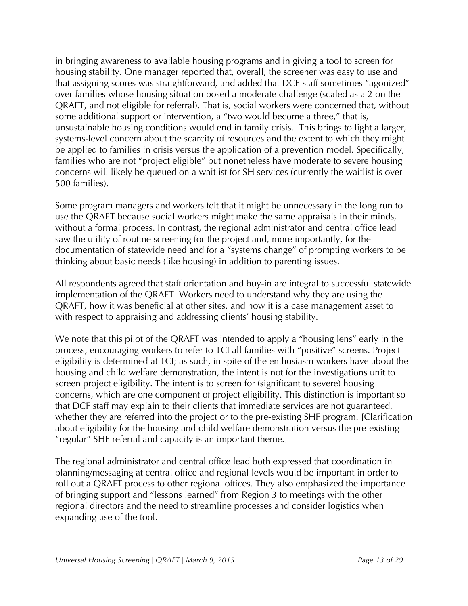in bringing awareness to available housing programs and in giving a tool to screen for housing stability. One manager reported that, overall, the screener was easy to use and that assigning scores was straightforward, and added that DCF staff sometimes "agonized" over families whose housing situation posed a moderate challenge (scaled as a 2 on the QRAFT, and not eligible for referral). That is, social workers were concerned that, without some additional support or intervention, a "two would become a three," that is, unsustainable housing conditions would end in family crisis. This brings to light a larger, systems-level concern about the scarcity of resources and the extent to which they might be applied to families in crisis versus the application of a prevention model. Specifically, families who are not "project eligible" but nonetheless have moderate to severe housing concerns will likely be queued on a waitlist for SH services (currently the waitlist is over 500 families).

Some program managers and workers felt that it might be unnecessary in the long run to use the QRAFT because social workers might make the same appraisals in their minds, without a formal process. In contrast, the regional administrator and central office lead saw the utility of routine screening for the project and, more importantly, for the documentation of statewide need and for a "systems change" of prompting workers to be thinking about basic needs (like housing) in addition to parenting issues.

All respondents agreed that staff orientation and buy-in are integral to successful statewide implementation of the QRAFT. Workers need to understand why they are using the QRAFT, how it was beneficial at other sites, and how it is a case management asset to with respect to appraising and addressing clients' housing stability.

We note that this pilot of the QRAFT was intended to apply a "housing lens" early in the process, encouraging workers to refer to TCI all families with "positive" screens. Project eligibility is determined at TCI; as such, in spite of the enthusiasm workers have about the housing and child welfare demonstration, the intent is not for the investigations unit to screen project eligibility. The intent is to screen for (significant to severe) housing concerns, which are one component of project eligibility. This distinction is important so that DCF staff may explain to their clients that immediate services are not guaranteed, whether they are referred into the project or to the pre-existing SHF program. [Clarification about eligibility for the housing and child welfare demonstration versus the pre-existing "regular" SHF referral and capacity is an important theme.]

The regional administrator and central office lead both expressed that coordination in planning/messaging at central office and regional levels would be important in order to roll out a QRAFT process to other regional offices. They also emphasized the importance of bringing support and "lessons learned" from Region 3 to meetings with the other regional directors and the need to streamline processes and consider logistics when expanding use of the tool.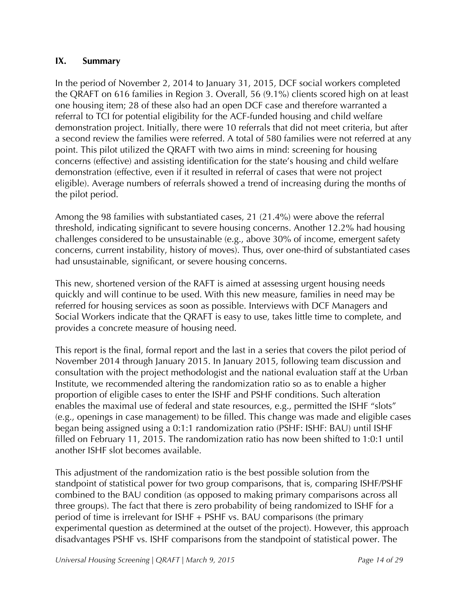# **IX. Summary**

In the period of November 2, 2014 to January 31, 2015, DCF social workers completed the QRAFT on 616 families in Region 3. Overall, 56 (9.1%) clients scored high on at least one housing item; 28 of these also had an open DCF case and therefore warranted a referral to TCI for potential eligibility for the ACF-funded housing and child welfare demonstration project. Initially, there were 10 referrals that did not meet criteria, but after a second review the families were referred. A total of 580 families were not referred at any point. This pilot utilized the QRAFT with two aims in mind: screening for housing concerns (effective) and assisting identification for the state's housing and child welfare demonstration (effective, even if it resulted in referral of cases that were not project eligible). Average numbers of referrals showed a trend of increasing during the months of the pilot period.

Among the 98 families with substantiated cases, 21 (21.4%) were above the referral threshold, indicating significant to severe housing concerns. Another 12.2% had housing challenges considered to be unsustainable (e.g., above 30% of income, emergent safety concerns, current instability, history of moves). Thus, over one-third of substantiated cases had unsustainable, significant, or severe housing concerns.

This new, shortened version of the RAFT is aimed at assessing urgent housing needs quickly and will continue to be used. With this new measure, families in need may be referred for housing services as soon as possible. Interviews with DCF Managers and Social Workers indicate that the QRAFT is easy to use, takes little time to complete, and provides a concrete measure of housing need.

This report is the final, formal report and the last in a series that covers the pilot period of November 2014 through January 2015. In January 2015, following team discussion and consultation with the project methodologist and the national evaluation staff at the Urban Institute, we recommended altering the randomization ratio so as to enable a higher proportion of eligible cases to enter the ISHF and PSHF conditions. Such alteration enables the maximal use of federal and state resources, e.g., permitted the ISHF "slots" (e.g., openings in case management) to be filled. This change was made and eligible cases began being assigned using a 0:1:1 randomization ratio (PSHF: ISHF: BAU) until ISHF filled on February 11, 2015. The randomization ratio has now been shifted to 1:0:1 until another ISHF slot becomes available.

This adjustment of the randomization ratio is the best possible solution from the standpoint of statistical power for two group comparisons, that is, comparing ISHF/PSHF combined to the BAU condition (as opposed to making primary comparisons across all three groups). The fact that there is zero probability of being randomized to ISHF for a period of time is irrelevant for ISHF + PSHF vs. BAU comparisons (the primary experimental question as determined at the outset of the project). However, this approach disadvantages PSHF vs. ISHF comparisons from the standpoint of statistical power. The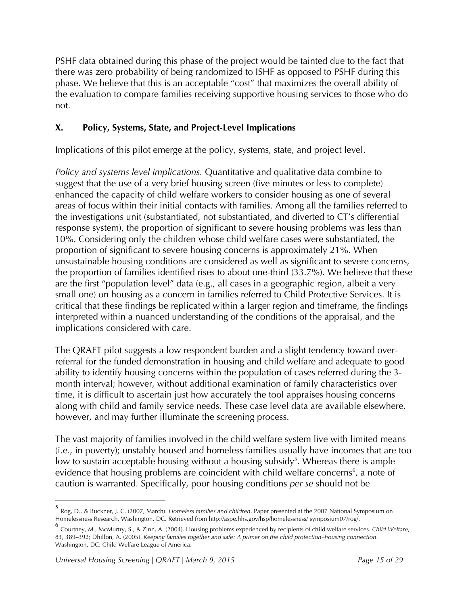PSHF data obtained during this phase of the project would be tainted due to the fact that there was zero probability of being randomized to ISHF as opposed to PSHF during this phase. We believe that this is an acceptable "cost" that maximizes the overall ability of the evaluation to compare families receiving supportive housing services to those who do not.

# **X. Policy, Systems, State, and Project-Level Implications**

Implications of this pilot emerge at the policy, systems, state, and project level.

*Policy and systems level implications.* Quantitative and qualitative data combine to suggest that the use of a very brief housing screen (five minutes or less to complete) enhanced the capacity of child welfare workers to consider housing as one of several areas of focus within their initial contacts with families. Among all the families referred to the investigations unit (substantiated, not substantiated, and diverted to CT's differential response system), the proportion of significant to severe housing problems was less than 10%. Considering only the children whose child welfare cases were substantiated, the proportion of significant to severe housing concerns is approximately 21%. When unsustainable housing conditions are considered as well as significant to severe concerns, the proportion of families identified rises to about one-third (33.7%). We believe that these are the first "population level" data (e.g., all cases in a geographic region, albeit a very small one) on housing as a concern in families referred to Child Protective Services. It is critical that these findings be replicated within a larger region and timeframe, the findings interpreted within a nuanced understanding of the conditions of the appraisal, and the implications considered with care.

The QRAFT pilot suggests a low respondent burden and a slight tendency toward overreferral for the funded demonstration in housing and child welfare and adequate to good ability to identify housing concerns within the population of cases referred during the 3 month interval; however, without additional examination of family characteristics over time, it is difficult to ascertain just how accurately the tool appraises housing concerns along with child and family service needs. These case level data are available elsewhere, however, and may further illuminate the screening process.

The vast majority of families involved in the child welfare system live with limited means (i.e., in poverty); unstably housed and homeless families usually have incomes that are too low to sustain acceptable housing without a housing subsidy<sup>5</sup>. Whereas there is ample evidence that housing problems are coincident with child welfare concerns<sup>6</sup>, a note of caution is warranted. Specifically, poor housing conditions *per se* should not be

 <sup>5</sup> Rog, D., & Buckner, J. C. (2007, March). *Homeless families and children*. Paper presented at the 2007 National Symposium on Homelessness Research, Washington, DC. Retrieved from http://aspe.hhs.gov/hsp/homelessness/ symposium07/rog/.

<sup>6</sup> Courtney, M., McMurtry, S., & Zinn, A. (2004). Housing problems experienced by recipients of child welfare services. *Child Welfare*, 83, 389–392; Dhillon, A. (2005). *Keeping families together and safe: A primer on the child protection–housing connection*. Washington, DC: Child Welfare League of America.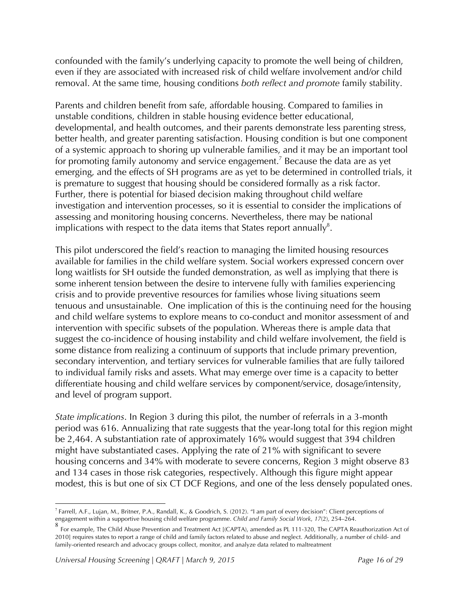confounded with the family's underlying capacity to promote the well being of children, even if they are associated with increased risk of child welfare involvement and/or child removal. At the same time, housing conditions *both reflect and promote* family stability.

Parents and children benefit from safe, affordable housing. Compared to families in unstable conditions, children in stable housing evidence better educational, developmental, and health outcomes, and their parents demonstrate less parenting stress, better health, and greater parenting satisfaction. Housing condition is but one component of a systemic approach to shoring up vulnerable families, and it may be an important tool for promoting family autonomy and service engagement.<sup>7</sup> Because the data are as yet emerging, and the effects of SH programs are as yet to be determined in controlled trials, it is premature to suggest that housing should be considered formally as a risk factor. Further, there is potential for biased decision making throughout child welfare investigation and intervention processes, so it is essential to consider the implications of assessing and monitoring housing concerns. Nevertheless, there may be national implications with respect to the data items that States report annually<sup>8</sup>.

This pilot underscored the field's reaction to managing the limited housing resources available for families in the child welfare system. Social workers expressed concern over long waitlists for SH outside the funded demonstration, as well as implying that there is some inherent tension between the desire to intervene fully with families experiencing crisis and to provide preventive resources for families whose living situations seem tenuous and unsustainable. One implication of this is the continuing need for the housing and child welfare systems to explore means to co-conduct and monitor assessment of and intervention with specific subsets of the population. Whereas there is ample data that suggest the co-incidence of housing instability and child welfare involvement, the field is some distance from realizing a continuum of supports that include primary prevention, secondary intervention, and tertiary services for vulnerable families that are fully tailored to individual family risks and assets. What may emerge over time is a capacity to better differentiate housing and child welfare services by component/service, dosage/intensity, and level of program support.

*State implications*. In Region 3 during this pilot, the number of referrals in a 3-month period was 616. Annualizing that rate suggests that the year-long total for this region might be 2,464. A substantiation rate of approximately 16% would suggest that 394 children might have substantiated cases. Applying the rate of 21% with significant to severe housing concerns and 34% with moderate to severe concerns, Region 3 might observe 83 and 134 cases in those risk categories, respectively. Although this figure might appear modest, this is but one of six CT DCF Regions, and one of the less densely populated ones.

 <sup>7</sup> Farrell, A.F., Lujan, M., Britner, P.A., Randall, K., & Goodrich, S. (2012). "I am part of every decision": Client perceptions of engagement within a supportive housing child welfare programme. *Child and Family Social Work*, *17*(2), 254–264.

<sup>&</sup>lt;sup>8</sup> For example, The Child Abuse Prevention and Treatment Act [(CAPTA), amended as PL 111-320, The CAPTA Reauthorization Act of 2010] requires states to report a range of child and family factors related to abuse and neglect. Additionally, a number of child- and family-oriented research and advocacy groups collect, monitor, and analyze data related to maltreatment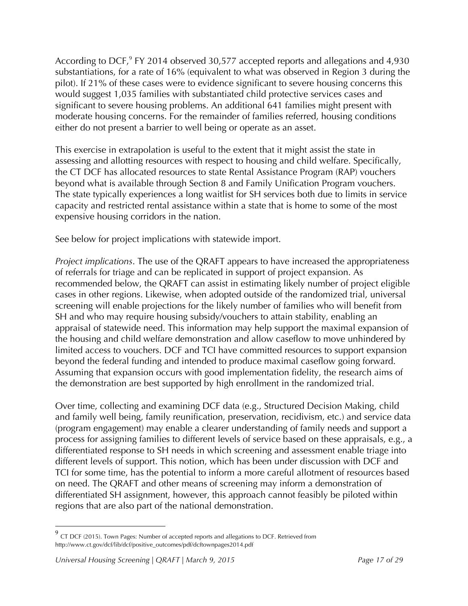According to DCF, $9$  FY 2014 observed 30,577 accepted reports and allegations and 4,930 substantiations, for a rate of 16% (equivalent to what was observed in Region 3 during the pilot). If 21% of these cases were to evidence significant to severe housing concerns this would suggest 1,035 families with substantiated child protective services cases and significant to severe housing problems. An additional 641 families might present with moderate housing concerns. For the remainder of families referred, housing conditions either do not present a barrier to well being or operate as an asset.

This exercise in extrapolation is useful to the extent that it might assist the state in assessing and allotting resources with respect to housing and child welfare. Specifically, the CT DCF has allocated resources to state Rental Assistance Program (RAP) vouchers beyond what is available through Section 8 and Family Unification Program vouchers. The state typically experiences a long waitlist for SH services both due to limits in service capacity and restricted rental assistance within a state that is home to some of the most expensive housing corridors in the nation.

See below for project implications with statewide import.

*Project implications*. The use of the QRAFT appears to have increased the appropriateness of referrals for triage and can be replicated in support of project expansion. As recommended below, the QRAFT can assist in estimating likely number of project eligible cases in other regions. Likewise, when adopted outside of the randomized trial, universal screening will enable projections for the likely number of families who will benefit from SH and who may require housing subsidy/vouchers to attain stability, enabling an appraisal of statewide need. This information may help support the maximal expansion of the housing and child welfare demonstration and allow caseflow to move unhindered by limited access to vouchers. DCF and TCI have committed resources to support expansion beyond the federal funding and intended to produce maximal caseflow going forward. Assuming that expansion occurs with good implementation fidelity, the research aims of the demonstration are best supported by high enrollment in the randomized trial.

Over time, collecting and examining DCF data (e.g., Structured Decision Making, child and family well being, family reunification, preservation, recidivism, etc.) and service data (program engagement) may enable a clearer understanding of family needs and support a process for assigning families to different levels of service based on these appraisals, e.g., a differentiated response to SH needs in which screening and assessment enable triage into different levels of support. This notion, which has been under discussion with DCF and TCI for some time, has the potential to inform a more careful allotment of resources based on need. The QRAFT and other means of screening may inform a demonstration of differentiated SH assignment, however, this approach cannot feasibly be piloted within regions that are also part of the national demonstration.

 <sup>9</sup> CT DCF (2015). Town Pages: Number of accepted reports and allegations to DCF. Retrieved from http://www.ct.gov/dcf/lib/dcf/positive\_outcomes/pdf/dcftownpages2014.pdf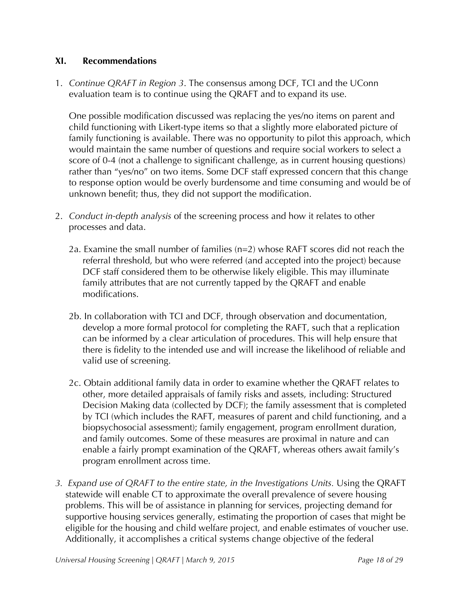# **XI. Recommendations**

1. *Continue QRAFT in Region 3*. The consensus among DCF, TCI and the UConn evaluation team is to continue using the QRAFT and to expand its use.

One possible modification discussed was replacing the yes/no items on parent and child functioning with Likert-type items so that a slightly more elaborated picture of family functioning is available. There was no opportunity to pilot this approach, which would maintain the same number of questions and require social workers to select a score of 0-4 (not a challenge to significant challenge, as in current housing questions) rather than "yes/no" on two items. Some DCF staff expressed concern that this change to response option would be overly burdensome and time consuming and would be of unknown benefit; thus, they did not support the modification.

- 2. *Conduct in-depth analysis* of the screening process and how it relates to other processes and data.
	- 2a. Examine the small number of families (n=2) whose RAFT scores did not reach the referral threshold, but who were referred (and accepted into the project) because DCF staff considered them to be otherwise likely eligible. This may illuminate family attributes that are not currently tapped by the QRAFT and enable modifications.
	- 2b. In collaboration with TCI and DCF, through observation and documentation, develop a more formal protocol for completing the RAFT, such that a replication can be informed by a clear articulation of procedures. This will help ensure that there is fidelity to the intended use and will increase the likelihood of reliable and valid use of screening.
	- 2c. Obtain additional family data in order to examine whether the QRAFT relates to other, more detailed appraisals of family risks and assets, including: Structured Decision Making data (collected by DCF); the family assessment that is completed by TCI (which includes the RAFT, measures of parent and child functioning, and a biopsychosocial assessment); family engagement, program enrollment duration, and family outcomes. Some of these measures are proximal in nature and can enable a fairly prompt examination of the QRAFT, whereas others await family's program enrollment across time.
- *3. Expand use of QRAFT to the entire state, in the Investigations Units.* Using the QRAFT statewide will enable CT to approximate the overall prevalence of severe housing problems. This will be of assistance in planning for services, projecting demand for supportive housing services generally, estimating the proportion of cases that might be eligible for the housing and child welfare project, and enable estimates of voucher use. Additionally, it accomplishes a critical systems change objective of the federal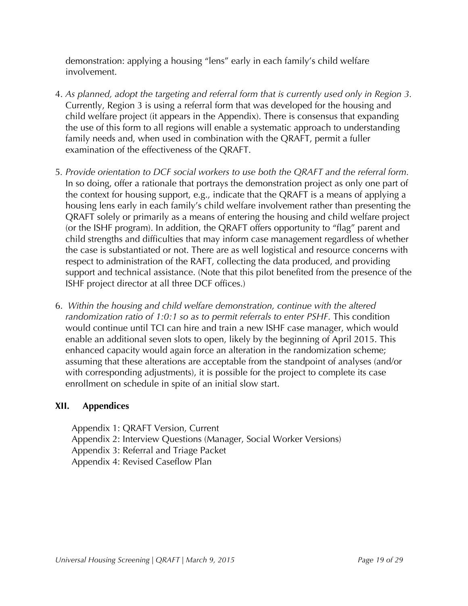demonstration: applying a housing "lens" early in each family's child welfare involvement.

- 4. *As planned, adopt the targeting and referral form that is currently used only in Region 3.* Currently, Region 3 is using a referral form that was developed for the housing and child welfare project (it appears in the Appendix). There is consensus that expanding the use of this form to all regions will enable a systematic approach to understanding family needs and, when used in combination with the QRAFT, permit a fuller examination of the effectiveness of the QRAFT.
- 5*. Provide orientation to DCF social workers to use both the QRAFT and the referral form.* In so doing, offer a rationale that portrays the demonstration project as only one part of the context for housing support, e.g., indicate that the QRAFT is a means of applying a housing lens early in each family's child welfare involvement rather than presenting the QRAFT solely or primarily as a means of entering the housing and child welfare project (or the ISHF program). In addition, the QRAFT offers opportunity to "flag" parent and child strengths and difficulties that may inform case management regardless of whether the case is substantiated or not. There are as well logistical and resource concerns with respect to administration of the RAFT, collecting the data produced, and providing support and technical assistance. (Note that this pilot benefited from the presence of the ISHF project director at all three DCF offices.)
- 6. *Within the housing and child welfare demonstration, continue with the altered randomization ratio of 1:0:1 so as to permit referrals to enter PSHF.* This condition would continue until TCI can hire and train a new ISHF case manager, which would enable an additional seven slots to open, likely by the beginning of April 2015. This enhanced capacity would again force an alteration in the randomization scheme; assuming that these alterations are acceptable from the standpoint of analyses (and/or with corresponding adjustments), it is possible for the project to complete its case enrollment on schedule in spite of an initial slow start.

# **XII. Appendices**

Appendix 1: QRAFT Version, Current Appendix 2: Interview Questions (Manager, Social Worker Versions) Appendix 3: Referral and Triage Packet Appendix 4: Revised Caseflow Plan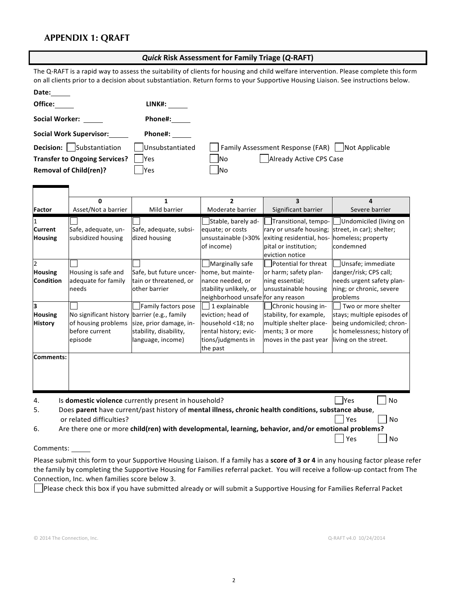### **APPENDIX 1: QRAFT**

| <b>Quick Risk Assessment for Family Triage (Q-RAFT)</b> |  |
|---------------------------------------------------------|--|
|---------------------------------------------------------|--|

The Q-RAFT is a rapid way to assess the suitability of clients for housing and child welfare intervention. Please complete this form on all clients prior to a decision about substantiation. Return forms to your Supportive Housing Liaison. See instructions below.

| Date:                                |                 |                                                   |
|--------------------------------------|-----------------|---------------------------------------------------|
| Office:                              | LINK#:          |                                                   |
| <b>Social Worker:</b>                | Phone#:         |                                                   |
| <b>Social Work Supervisor:</b>       | Phone#:         |                                                   |
| Substantiation<br><b>Decision:</b>   | Unsubstantiated | Family Assessment Response (FAR)   Not Applicable |
| <b>Transfer to Ongoing Services?</b> | <b>Yes</b>      | Already Active CPS Case<br>lNo                    |
| <b>Removal of Child(ren)?</b>        | lYes            | <b>INo</b>                                        |

|                                                                                                                                        | 0                                                                                                   | 1                                                                      | $\mathbf{2}$                                                                                          | 3                                                                                                                        |                                                                                                                  |
|----------------------------------------------------------------------------------------------------------------------------------------|-----------------------------------------------------------------------------------------------------|------------------------------------------------------------------------|-------------------------------------------------------------------------------------------------------|--------------------------------------------------------------------------------------------------------------------------|------------------------------------------------------------------------------------------------------------------|
| <b>Factor</b>                                                                                                                          | Asset/Not a barrier                                                                                 | Mild barrier                                                           | Moderate barrier                                                                                      | Significant barrier                                                                                                      | Severe barrier                                                                                                   |
| <b>Current</b><br><b>Housing</b>                                                                                                       | Safe, adequate, un-<br>subsidized housing                                                           | Safe, adequate, subsi-<br>dized housing                                | Stable, barely ad-<br>equate; or costs<br>unsustainable (>30%<br>of income)                           | Transitional, tempo-<br>rary or unsafe housing;<br>exiting residential, hos-<br>pital or institution;<br>eviction notice | Undomiciled (living on<br>street, in car); shelter;<br>homeless; property<br>condemned                           |
| $\overline{2}$                                                                                                                         |                                                                                                     |                                                                        | Marginally safe                                                                                       | Potential for threat                                                                                                     | Unsafe; immediate                                                                                                |
| Housing<br><b>Condition</b>                                                                                                            | Housing is safe and<br>adequate for family<br>needs                                                 | Safe, but future uncer-<br>tain or threatened, or<br>other barrier     | home, but mainte-<br>nance needed, or<br>stability unlikely, or<br>neighborhood unsafe for any reason | or harm; safety plan-<br>ning essential;<br>unsustainable housing                                                        | danger/risk; CPS call;<br>needs urgent safety plan-<br>ning; or chronic, severe<br>problems                      |
| з                                                                                                                                      |                                                                                                     | Family factors pose                                                    | 1 explainable                                                                                         | Chronic housing in-                                                                                                      | Two or more shelter                                                                                              |
| <b>Housing</b><br><b>History</b>                                                                                                       | No significant history barrier (e.g., family<br>of housing problems<br>before current<br>episode    | size, prior damage, in-<br>stability, disability,<br>language, income) | eviction; head of<br>household <18; no<br>rental history; evic-<br>tions/judgments in<br>the past     | stability, for example,<br>multiple shelter place-<br>ments; 3 or more<br>moves in the past year                         | stays; multiple episodes of<br>being undomiciled; chron-<br>ic homelessness; history of<br>living on the street. |
| Comments:                                                                                                                              |                                                                                                     |                                                                        |                                                                                                       |                                                                                                                          |                                                                                                                  |
| 4.                                                                                                                                     | Is domestic violence currently present in household?                                                |                                                                        |                                                                                                       |                                                                                                                          | <b>P</b> es<br><b>No</b>                                                                                         |
| Does parent have current/past history of mental illness, chronic health conditions, substance abuse,<br>5.<br>or related difficulties? |                                                                                                     |                                                                        |                                                                                                       | <b>No</b><br>Yes                                                                                                         |                                                                                                                  |
| 6.                                                                                                                                     | Are there one or more child(ren) with developmental, learning, behavior, and/or emotional problems? |                                                                        |                                                                                                       |                                                                                                                          |                                                                                                                  |
|                                                                                                                                        |                                                                                                     |                                                                        |                                                                                                       |                                                                                                                          | Yes<br>No                                                                                                        |

#### Comments:

Please submit this form to your Supportive Housing Liaison. If a family has a score of 3 or 4 in any housing factor please refer the family by completing the Supportive Housing for Families referral packet. You will receive a follow-up contact from The Connection, Inc. when families score below 3.

Please check this box if you have submitted already or will submit a Supportive Housing for Families Referral Packet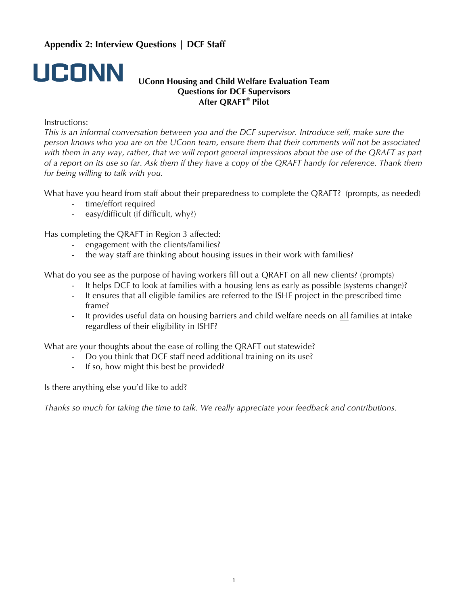# **Appendix 2: Interview Questions | DCF Staff**



#### **UConn Housing and Child Welfare Evaluation Team Questions for DCF Supervisors After QRAFT® Pilot**

#### Instructions:

*This is an informal conversation between you and the DCF supervisor. Introduce self, make sure the person knows who you are on the UConn team, ensure them that their comments will not be associated with them in any way, rather, that we will report general impressions about the use of the QRAFT as part of a report on its use so far. Ask them if they have a copy of the QRAFT handy for reference. Thank them for being willing to talk with you.*

What have you heard from staff about their preparedness to complete the QRAFT? (prompts, as needed)

- time/effort required
- easy/difficult (if difficult, why?)

Has completing the QRAFT in Region 3 affected:

- engagement with the clients/families?
- the way staff are thinking about housing issues in their work with families?

What do you see as the purpose of having workers fill out a QRAFT on all new clients? (prompts)

- It helps DCF to look at families with a housing lens as early as possible (systems change)?
	- It ensures that all eligible families are referred to the ISHF project in the prescribed time frame?
	- It provides useful data on housing barriers and child welfare needs on all families at intake regardless of their eligibility in ISHF?

What are your thoughts about the ease of rolling the QRAFT out statewide?

- Do you think that DCF staff need additional training on its use?
- If so, how might this best be provided?

Is there anything else you'd like to add?

*Thanks so much for taking the time to talk. We really appreciate your feedback and contributions.*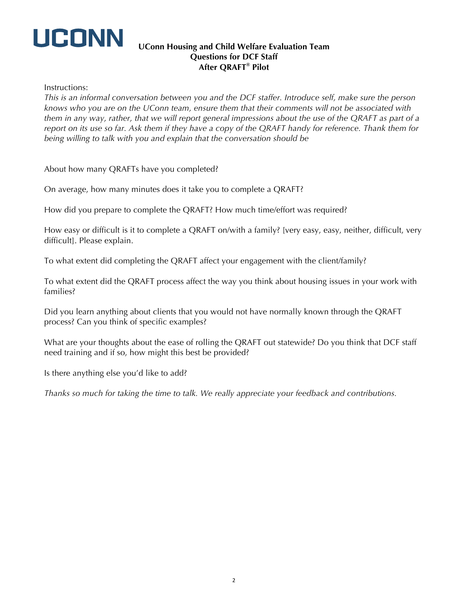

#### **UConn Housing and Child Welfare Evaluation Team Questions for DCF Staff After QRAFT® Pilot**

Instructions:

*This is an informal conversation between you and the DCF staffer. Introduce self, make sure the person knows who you are on the UConn team, ensure them that their comments will not be associated with them in any way, rather, that we will report general impressions about the use of the QRAFT as part of a report on its use so far. Ask them if they have a copy of the QRAFT handy for reference. Thank them for being willing to talk with you and explain that the conversation should be* 

About how many QRAFTs have you completed?

On average, how many minutes does it take you to complete a QRAFT?

How did you prepare to complete the QRAFT? How much time/effort was required?

How easy or difficult is it to complete a QRAFT on/with a family? [very easy, easy, neither, difficult, very difficult]. Please explain.

To what extent did completing the QRAFT affect your engagement with the client/family?

To what extent did the QRAFT process affect the way you think about housing issues in your work with families?

Did you learn anything about clients that you would not have normally known through the QRAFT process? Can you think of specific examples?

What are your thoughts about the ease of rolling the QRAFT out statewide? Do you think that DCF staff need training and if so, how might this best be provided?

Is there anything else you'd like to add?

*Thanks so much for taking the time to talk. We really appreciate your feedback and contributions.*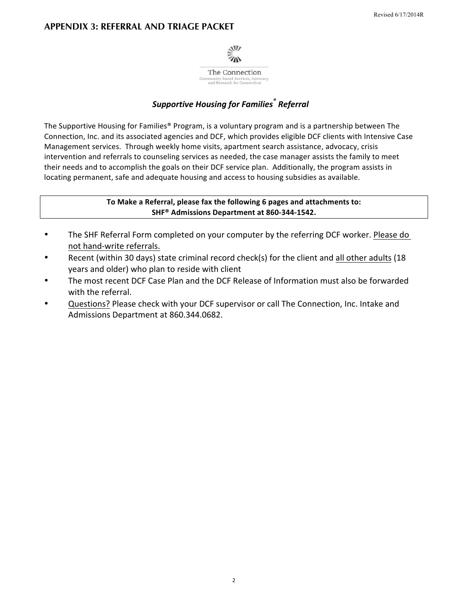

# **Supportive Housing for Families<sup>®</sup> Referral**

The Supportive Housing for Families® Program, is a voluntary program and is a partnership between The Connection, Inc. and its associated agencies and DCF, which provides eligible DCF clients with Intensive Case Management services. Through weekly home visits, apartment search assistance, advocacy, crisis intervention and referrals to counseling services as needed, the case manager assists the family to meet their needs and to accomplish the goals on their DCF service plan. Additionally, the program assists in locating permanent, safe and adequate housing and access to housing subsidies as available.

> To Make a Referral, please fax the following 6 pages and attachments to: SHF<sup>®</sup> Admissions Department at 860-344-1542.

- $\bullet$ The SHF Referral Form completed on your computer by the referring DCF worker. Please do not hand-write referrals.
- Recent (within 30 days) state criminal record check(s) for the client and all other adults (18  $\bullet$ years and older) who plan to reside with client
- The most recent DCF Case Plan and the DCF Release of Information must also be forwarded with the referral.
- Questions? Please check with your DCF supervisor or call The Connection, Inc. Intake and Admissions Department at 860.344.0682.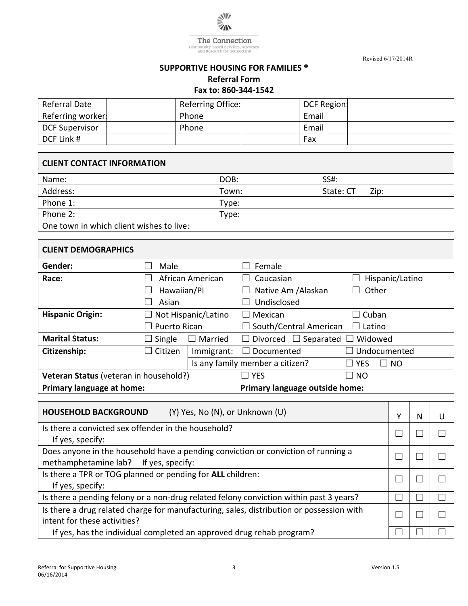

The Connection Community-based Services, Advocacy<br>and Research for Connecticut

Revised 6/17/2014R

#### **SUPPORTIVE HOUSING FOR FAMILIES ® Referral Form**

Fax to: 860-344-1542

| Referral Date         |       | Referring Office: | DCF Region: |  |
|-----------------------|-------|-------------------|-------------|--|
| Referring worker      | Phone |                   | Email       |  |
| <b>DCF Supervisor</b> | Phone |                   | Email       |  |
| DCF Link #            |       |                   | Fax         |  |

# **CLIENT CONTACT INFORMATION**

| Name:                                    | DOB:  | SS#:              |
|------------------------------------------|-------|-------------------|
| Address:                                 | Town: | State: CT<br>Zip: |
| Phone 1:                                 | Type: |                   |
| Phone 2:                                 | Type: |                   |
| One town in which client wishes to live: |       |                   |

### **CLIENT DEMOGRAPHICS**

| Gender:                                | Male                                     |            | Female                                            |                                                     |
|----------------------------------------|------------------------------------------|------------|---------------------------------------------------|-----------------------------------------------------|
| Race:                                  | African American                         |            | Caucasian                                         | Hispanic/Latino                                     |
|                                        | Hawaiian/Pl                              |            | Native Am / Alaskan                               | Other                                               |
|                                        | Asian                                    |            | Undisclosed                                       |                                                     |
| <b>Hispanic Origin:</b>                | Not Hispanic/Latino<br>$\vert \ \ \vert$ |            | Mexican<br>$\Box$                                 | Cuban<br>$\blacksquare$                             |
|                                        | Puerto Rican<br>$\blacksquare$           |            | $\Box$ South/Central American<br>Latino<br>$\Box$ |                                                     |
| <b>Marital Status:</b>                 | $\Box$ Single                            | Married    | $\Box$ Separated<br>Divorced<br>$\Box$            | Widowed                                             |
| Citizenship:                           | $\Box$ Citizen                           | Immigrant: | Documented<br>$\mathbf{L}$                        | $\Box$ Undocumented                                 |
|                                        |                                          |            | Is any family member a citizen?                   | <b>YES</b><br><b>NO</b><br>$\overline{\phantom{a}}$ |
| Veteran Status (veteran in household?) |                                          |            | <b>YES</b>                                        | $\Box$ NO                                           |
| Primary language at home:              |                                          |            | Primary language outside home:                    |                                                     |

| (Y) Yes, No (N), or Unknown (U)<br><b>HOUSEHOLD BACKGROUND</b>                           | v | N |  |
|------------------------------------------------------------------------------------------|---|---|--|
| Is there a convicted sex offender in the household?                                      |   |   |  |
| If yes, specify:                                                                         |   |   |  |
| Does anyone in the household have a pending conviction or conviction of running a        |   |   |  |
| methamphetamine lab? If yes, specify:                                                    |   |   |  |
| Is there a TPR or TOG planned or pending for ALL children:                               |   |   |  |
| If yes, specify:                                                                         |   |   |  |
| Is there a pending felony or a non-drug related felony conviction within past 3 years?   |   |   |  |
| Is there a drug related charge for manufacturing, sales, distribution or possession with |   |   |  |
| intent for these activities?                                                             |   |   |  |
| If yes, has the individual completed an approved drug rehab program?                     |   |   |  |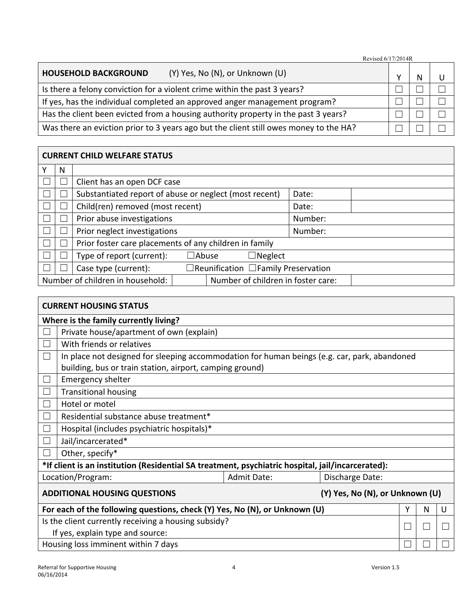| Revised 6/17/2014R                                                                    |  |  |  |
|---------------------------------------------------------------------------------------|--|--|--|
| (Y) Yes, No (N), or Unknown (U)<br><b>HOUSEHOLD BACKGROUND</b>                        |  |  |  |
| Is there a felony conviction for a violent crime within the past 3 years?             |  |  |  |
| If yes, has the individual completed an approved anger management program?            |  |  |  |
| Has the client been evicted from a housing authority property in the past 3 years?    |  |  |  |
| Was there an eviction prior to 3 years ago but the client still owes money to the HA? |  |  |  |

# **CURRENT CHILD WELFARE STATUS**

| N            |                                                                         |  |  |                |                                    |  |
|--------------|-------------------------------------------------------------------------|--|--|----------------|------------------------------------|--|
| L.           | Client has an open DCF case                                             |  |  |                |                                    |  |
|              | Substantiated report of abuse or neglect (most recent)                  |  |  |                | Date:                              |  |
|              | Child(ren) removed (most recent)                                        |  |  |                | Date:                              |  |
|              | Prior abuse investigations                                              |  |  |                | Number:                            |  |
|              | Prior neglect investigations                                            |  |  |                | Number:                            |  |
| $\mathbf{L}$ | Prior foster care placements of any children in family                  |  |  |                |                                    |  |
|              | Type of report (current):<br>$\Box$ Abuse                               |  |  | $\Box$ Neglect |                                    |  |
|              | $\Box$ Reunification $\Box$ Family Preservation<br>Case type (current): |  |  |                |                                    |  |
|              | Number of children in household:                                        |  |  |                | Number of children in foster care: |  |

|                                                      | <b>CURRENT HOUSING STATUS</b>                                                                     |                    |                 |  |  |  |  |  |  |
|------------------------------------------------------|---------------------------------------------------------------------------------------------------|--------------------|-----------------|--|--|--|--|--|--|
|                                                      | Where is the family currently living?                                                             |                    |                 |  |  |  |  |  |  |
|                                                      | Private house/apartment of own (explain)                                                          |                    |                 |  |  |  |  |  |  |
|                                                      | With friends or relatives                                                                         |                    |                 |  |  |  |  |  |  |
|                                                      | In place not designed for sleeping accommodation for human beings (e.g. car, park, abandoned      |                    |                 |  |  |  |  |  |  |
|                                                      | building, bus or train station, airport, camping ground)                                          |                    |                 |  |  |  |  |  |  |
|                                                      | <b>Emergency shelter</b>                                                                          |                    |                 |  |  |  |  |  |  |
|                                                      | <b>Transitional housing</b>                                                                       |                    |                 |  |  |  |  |  |  |
|                                                      | Hotel or motel                                                                                    |                    |                 |  |  |  |  |  |  |
|                                                      | Residential substance abuse treatment*                                                            |                    |                 |  |  |  |  |  |  |
|                                                      | Hospital (includes psychiatric hospitals)*                                                        |                    |                 |  |  |  |  |  |  |
|                                                      | Jail/incarcerated*                                                                                |                    |                 |  |  |  |  |  |  |
|                                                      | Other, specify*                                                                                   |                    |                 |  |  |  |  |  |  |
|                                                      | *If client is an institution (Residential SA treatment, psychiatric hospital, jail/incarcerated): |                    |                 |  |  |  |  |  |  |
|                                                      | Location/Program:                                                                                 | <b>Admit Date:</b> | Discharge Date: |  |  |  |  |  |  |
|                                                      | (Y) Yes, No (N), or Unknown (U)<br><b>ADDITIONAL HOUSING QUESTIONS</b>                            |                    |                 |  |  |  |  |  |  |
|                                                      | For each of the following questions, check (Y) Yes, No (N), or Unknown (U)<br>Υ<br>N<br>U         |                    |                 |  |  |  |  |  |  |
| Is the client currently receiving a housing subsidy? |                                                                                                   |                    |                 |  |  |  |  |  |  |
|                                                      | If yes, explain type and source:                                                                  |                    |                 |  |  |  |  |  |  |
|                                                      | Housing loss imminent within 7 days                                                               |                    |                 |  |  |  |  |  |  |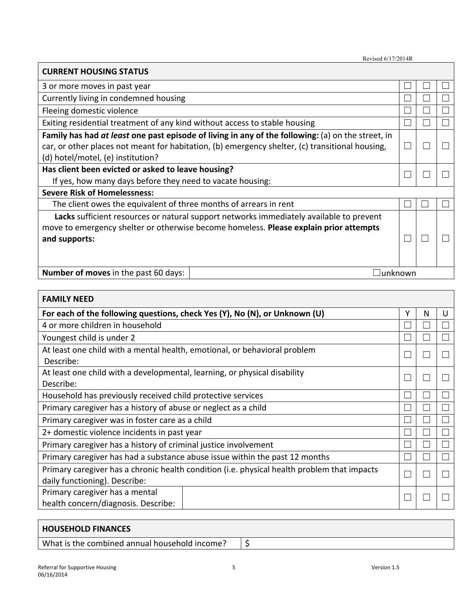| Revised 6/17/2014R |
|--------------------|
|                    |

 $\Box$ unknown

#### **CURRENT HOUSING STATUS** 3 or more moves in past year  $\Box$  $\Box$  $\Box$ Currently living in condemned housing  $\Box$  $\Box$  $\Box$  $\Box$  $\Box$ Fleeing domestic violence  $\Box$  $\Box$  $\Box$  $\Box$ Exiting residential treatment of any kind without access to stable housing Family has had at least one past episode of living in any of the following: (a) on the street, in car, or other places not meant for habitation, (b) emergency shelter, (c) transitional housing,  $\Box$  $\Box$  $\Box$ (d) hotel/motel, (e) institution? Has client been evicted or asked to leave housing?  $\Box$  $\Box$  $\Box$ If yes, how many days before they need to vacate housing: **Severe Risk of Homelessness:** The client owes the equivalent of three months of arrears in rent П П Lacks sufficient resources or natural support networks immediately available to prevent move to emergency shelter or otherwise become homeless. Please explain prior attempts  $\Box$  $\Box$  $\Box$ and supports:

| <b>Number of moves</b> in the past 60 days: |  |  |
|---------------------------------------------|--|--|
|---------------------------------------------|--|--|

| <b>FAMILY NEED</b>                                                                          |              |   |   |  |
|---------------------------------------------------------------------------------------------|--------------|---|---|--|
| For each of the following questions, check Yes (Y), No (N), or Unknown (U)                  | Υ            | N | U |  |
| 4 or more children in household                                                             |              |   |   |  |
| Youngest child is under 2                                                                   |              |   |   |  |
| At least one child with a mental health, emotional, or behavioral problem                   | $\mathbf{L}$ |   |   |  |
| Describe:                                                                                   |              |   |   |  |
| At least one child with a developmental, learning, or physical disability                   | L            |   |   |  |
| Describe:                                                                                   |              |   |   |  |
| Household has previously received child protective services                                 |              |   |   |  |
| Primary caregiver has a history of abuse or neglect as a child                              |              |   |   |  |
| Primary caregiver was in foster care as a child                                             |              |   |   |  |
| 2+ domestic violence incidents in past year                                                 |              |   |   |  |
| Primary caregiver has a history of criminal justice involvement                             |              |   |   |  |
| Primary caregiver has had a substance abuse issue within the past 12 months                 |              |   |   |  |
| Primary caregiver has a chronic health condition (i.e. physical health problem that impacts |              |   |   |  |
| daily functioning). Describe:                                                               |              |   |   |  |
| Primary caregiver has a mental                                                              |              |   |   |  |
| health concern/diagnosis. Describe:                                                         | L            |   |   |  |

| <b>HOUSEHOLD FINANCES</b>                     |  |
|-----------------------------------------------|--|
| What is the combined annual household income? |  |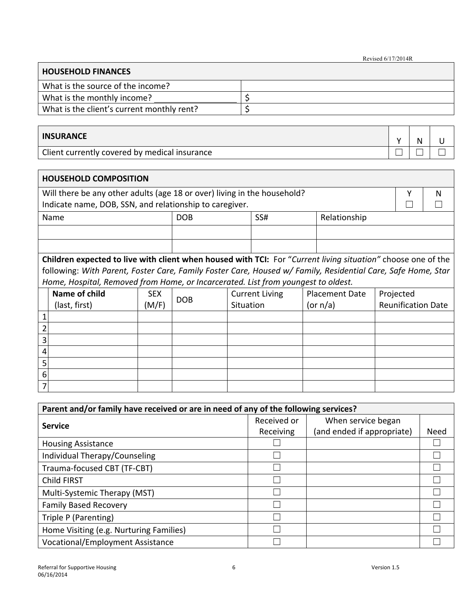Revised 6/17/2014R

 $\overline{\phantom{0}}$ 

| <b>HOUSEHOLD FINANCES</b>                  |  |  |  |  |  |
|--------------------------------------------|--|--|--|--|--|
| What is the source of the income?          |  |  |  |  |  |
| What is the monthly income?                |  |  |  |  |  |
| What is the client's current monthly rent? |  |  |  |  |  |

| <b>INSURANCE</b>                              |  |  |
|-----------------------------------------------|--|--|
| Client currently covered by medical insurance |  |  |

|   | <b>HOUSEHOLD COMPOSITION</b>                                                                                        |            |            |           |                       |  |                       |  |                           |   |
|---|---------------------------------------------------------------------------------------------------------------------|------------|------------|-----------|-----------------------|--|-----------------------|--|---------------------------|---|
|   | Will there be any other adults (age 18 or over) living in the household?                                            |            |            |           |                       |  |                       |  | Υ                         | N |
|   | Indicate name, DOB, SSN, and relationship to caregiver.                                                             |            |            |           |                       |  |                       |  |                           |   |
|   | Name                                                                                                                |            | <b>DOB</b> |           | SS#                   |  | Relationship          |  |                           |   |
|   |                                                                                                                     |            |            |           |                       |  |                       |  |                           |   |
|   |                                                                                                                     |            |            |           |                       |  |                       |  |                           |   |
|   | <b>Children expected to live with client when housed with TCI:</b> For "Current living situation" choose one of the |            |            |           |                       |  |                       |  |                           |   |
|   | following: With Parent, Foster Care, Family Foster Care, Housed w/ Family, Residential Care, Safe Home, Star        |            |            |           |                       |  |                       |  |                           |   |
|   | Home, Hospital, Removed from Home, or Incarcerated. List from youngest to oldest.                                   |            |            |           |                       |  |                       |  |                           |   |
|   | Name of child                                                                                                       | <b>SEX</b> | <b>DOB</b> |           | <b>Current Living</b> |  | <b>Placement Date</b> |  | Projected                 |   |
|   | (last, first)                                                                                                       | (M/F)      |            | Situation |                       |  | (or n/a)              |  | <b>Reunification Date</b> |   |
|   |                                                                                                                     |            |            |           |                       |  |                       |  |                           |   |
|   |                                                                                                                     |            |            |           |                       |  |                       |  |                           |   |
| 3 |                                                                                                                     |            |            |           |                       |  |                       |  |                           |   |
| 4 |                                                                                                                     |            |            |           |                       |  |                       |  |                           |   |
| 5 |                                                                                                                     |            |            |           |                       |  |                       |  |                           |   |
| 6 |                                                                                                                     |            |            |           |                       |  |                       |  |                           |   |
| 7 |                                                                                                                     |            |            |           |                       |  |                       |  |                           |   |

| Parent and/or family have received or are in need of any of the following services? |             |                            |             |  |  |  |  |
|-------------------------------------------------------------------------------------|-------------|----------------------------|-------------|--|--|--|--|
| <b>Service</b>                                                                      | Received or | When service began         |             |  |  |  |  |
|                                                                                     | Receiving   | (and ended if appropriate) | <b>Need</b> |  |  |  |  |
| <b>Housing Assistance</b>                                                           |             |                            |             |  |  |  |  |
| Individual Therapy/Counseling                                                       |             |                            |             |  |  |  |  |
| Trauma-focused CBT (TF-CBT)                                                         |             |                            |             |  |  |  |  |
| Child FIRST                                                                         |             |                            |             |  |  |  |  |
| Multi-Systemic Therapy (MST)                                                        |             |                            |             |  |  |  |  |
| <b>Family Based Recovery</b>                                                        |             |                            |             |  |  |  |  |
| Triple P (Parenting)                                                                |             |                            |             |  |  |  |  |
| Home Visiting (e.g. Nurturing Families)                                             |             |                            |             |  |  |  |  |
| Vocational/Employment Assistance                                                    |             |                            |             |  |  |  |  |

г

'n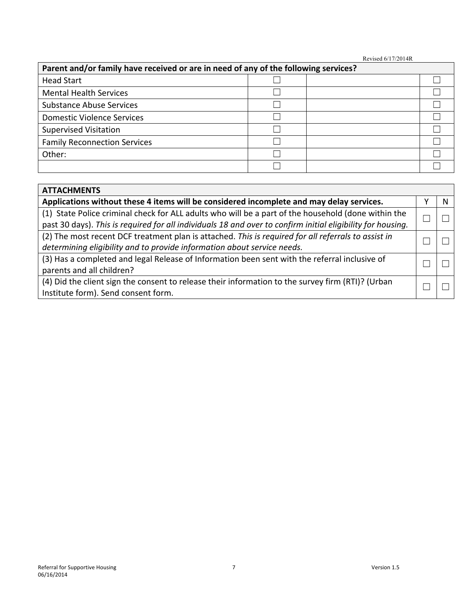Revised 6/17/2014R

| Parent and/or family have received or are in need of any of the following services? |  |  |  |  |  |  |
|-------------------------------------------------------------------------------------|--|--|--|--|--|--|
| <b>Head Start</b>                                                                   |  |  |  |  |  |  |
| <b>Mental Health Services</b>                                                       |  |  |  |  |  |  |
| <b>Substance Abuse Services</b>                                                     |  |  |  |  |  |  |
| <b>Domestic Violence Services</b>                                                   |  |  |  |  |  |  |
| <b>Supervised Visitation</b>                                                        |  |  |  |  |  |  |
| <b>Family Reconnection Services</b>                                                 |  |  |  |  |  |  |
| Other:                                                                              |  |  |  |  |  |  |
|                                                                                     |  |  |  |  |  |  |

| <b>ATTACHMENTS</b>                                                                                          |  |  |  |  |  |
|-------------------------------------------------------------------------------------------------------------|--|--|--|--|--|
| Applications without these 4 items will be considered incomplete and may delay services.                    |  |  |  |  |  |
| (1) State Police criminal check for ALL adults who will be a part of the household (done within the         |  |  |  |  |  |
| past 30 days). This is required for all individuals 18 and over to confirm initial eligibility for housing. |  |  |  |  |  |
| (2) The most recent DCF treatment plan is attached. This is required for all referrals to assist in         |  |  |  |  |  |
| determining eligibility and to provide information about service needs.                                     |  |  |  |  |  |
| (3) Has a completed and legal Release of Information been sent with the referral inclusive of               |  |  |  |  |  |
| parents and all children?                                                                                   |  |  |  |  |  |
| (4) Did the client sign the consent to release their information to the survey firm (RTI)? (Urban           |  |  |  |  |  |
| Institute form). Send consent form.                                                                         |  |  |  |  |  |

r